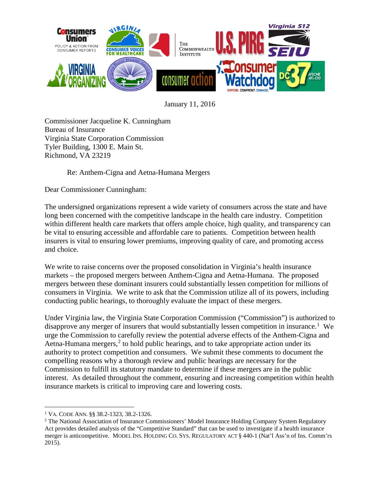

January 11, 2016

Commissioner Jacqueline K. Cunningham Bureau of Insurance Virginia State Corporation Commission Tyler Building, 1300 E. Main St. Richmond, VA 23219

Re: Anthem-Cigna and Aetna-Humana Mergers

Dear Commissioner Cunningham:

The undersigned organizations represent a wide variety of consumers across the state and have long been concerned with the competitive landscape in the health care industry. Competition within different health care markets that offers ample choice, high quality, and transparency can be vital to ensuring accessible and affordable care to patients. Competition between health insurers is vital to ensuring lower premiums, improving quality of care, and promoting access and choice.

We write to raise concerns over the proposed consolidation in Virginia's health insurance markets – the proposed mergers between Anthem-Cigna and Aetna-Humana. The proposed mergers between these dominant insurers could substantially lessen competition for millions of consumers in Virginia. We write to ask that the Commission utilize all of its powers, including conducting public hearings, to thoroughly evaluate the impact of these mergers.

Under Virginia law, the Virginia State Corporation Commission ("Commission") is authorized to disapprove any merger of insurers that would substantially lessen competition in insurance.<sup>[1](#page-0-0)</sup> We urge the Commission to carefully review the potential adverse effects of the Anthem-Cigna and Aetna-Humana mergers, $<sup>2</sup>$  $<sup>2</sup>$  $<sup>2</sup>$  to hold public hearings, and to take appropriate action under its</sup> authority to protect competition and consumers. We submit these comments to document the compelling reasons why a thorough review and public hearings are necessary for the Commission to fulfill its statutory mandate to determine if these mergers are in the public interest. As detailed throughout the comment, ensuring and increasing competition within health insurance markets is critical to improving care and lowering costs.

<span id="page-0-1"></span><span id="page-0-0"></span><sup>&</sup>lt;sup>1</sup> VA. CODE ANN. §§ 38.2-1323, 38.2-1326.<br><sup>2</sup> The National Association of Insurance Commissioners' Model Insurance Holding Company System Regulatory Act provides detailed analysis of the "Competitive Standard" that can be used to investigate if a health insurance merger is anticompetitive. MODEL INS. HOLDING CO. SYS. REGULATORY ACT § 440-1 (Nat'l Ass'n of Ins. Comm'rs 2015).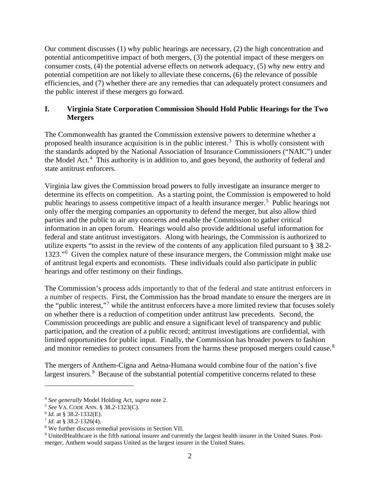Our comment discusses (1) why public hearings are necessary, (2) the high concentration and potential anticompetitive impact of both mergers, (3) the potential impact of these mergers on consumer costs, (4) the potential adverse effects on network adequacy, (5) why new entry and potential competition are not likely to alleviate these concerns, (6) the relevance of possible efficiencies, and (7) whether there are any remedies that can adequately protect consumers and the public interest if these mergers go forward.

## **I. Virginia State Corporation Commission Should Hold Public Hearings for the Two Mergers**

The Commonwealth has granted the Commission extensive powers to determine whether a proposed health insurance acquisition is in the public interest.<sup>[3](#page-1-0)</sup> This is wholly consistent with the standards adopted by the National Association of Insurance Commissioners ("NAIC") under the Model Act.<sup>[4](#page-1-1)</sup> This authority is in addition to, and goes beyond, the authority of federal and state antitrust enforcers.

Virginia law gives the Commission broad powers to fully investigate an insurance merger to determine its effects on competition. As a starting point, the Commission is empowered to hold public hearings to assess competitive impact of a health insurance merger.<sup>[5](#page-1-2)</sup> Public hearings not only offer the merging companies an opportunity to defend the merger, but also allow third parties and the public to air any concerns and enable the Commission to gather critical information in an open forum. Hearings would also provide additional useful information for federal and state antitrust investigators. Along with hearings, the Commission is authorized to utilize experts "to assist in the review of the contents of any application filed pursuant to § 38.2- 1323."<sup>[6](#page-1-3)</sup> Given the complex nature of these insurance mergers, the Commission might make use of antitrust legal experts and economists. These individuals could also participate in public hearings and offer testimony on their findings.

The Commission's process adds importantly to that of the federal and state antitrust enforcers in a number of respects. First, the Commission has the broad mandate to ensure the mergers are in the "public interest,"[7](#page-1-4) while the antitrust enforcers have a more limited review that focuses solely on whether there is a reduction of competition under antitrust law precedents. Second, the Commission proceedings are public and ensure a significant level of transparency and public participation, and the creation of a public record; antitrust investigations are confidential, with limited opportunities for public input. Finally, the Commission has broader powers to fashion and monitor remedies to protect consumers from the harms these proposed mergers could cause.<sup>[8](#page-1-5)</sup>

The mergers of Anthem-Cigna and Aetna-Humana would combine four of the nation's five largest insurers.<sup>[9](#page-1-6)</sup> Because of the substantial potential competitive concerns related to these

 $\overline{a}$ 

<span id="page-1-1"></span><span id="page-1-0"></span><sup>4</sup> *See generally* Model Holding Act, *supra* note 2.

<span id="page-1-2"></span><sup>&</sup>lt;sup>5</sup> *See* VA. CODE ANN. § 38.2-1323(C).<br><sup>6</sup> *Id.* at § 38.2-1332(E).

<span id="page-1-4"></span><span id="page-1-3"></span> $\frac{7}{1}$ *Id.* at § 38.2-1326(4).

<span id="page-1-5"></span><sup>8</sup> We further discuss remedial provisions in Section VII.

<span id="page-1-6"></span><sup>9</sup> UnitedHealthcare is the fifth national insurer and currently the largest health insurer in the United States. Postmerger, Anthem would surpass United as the largest insurer in the United States.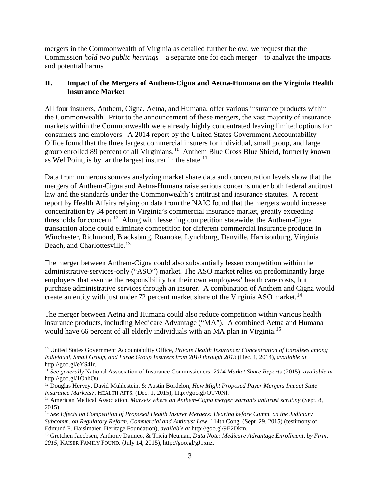mergers in the Commonwealth of Virginia as detailed further below, we request that the Commission *hold two public hearings* – a separate one for each merger – to analyze the impacts and potential harms.

# **II. Impact of the Mergers of Anthem-Cigna and Aetna-Humana on the Virginia Health Insurance Market**

All four insurers, Anthem, Cigna, Aetna, and Humana, offer various insurance products within the Commonwealth. Prior to the announcement of these mergers, the vast majority of insurance markets within the Commonwealth were already highly concentrated leaving limited options for consumers and employers. A 2014 report by the United States Government Accountability Office found that the three largest commercial insurers for individual, small group, and large group enrolled 89 percent of all Virginians.[10](#page-2-0) Anthem Blue Cross Blue Shield, formerly known as WellPoint, is by far the largest insurer in the state. $11$ 

Data from numerous sources analyzing market share data and concentration levels show that the mergers of Anthem-Cigna and Aetna-Humana raise serious concerns under both federal antitrust law and the standards under the Commonwealth's antitrust and insurance statutes. A recent report by Health Affairs relying on data from the NAIC found that the mergers would increase concentration by 34 percent in Virginia's commercial insurance market, greatly exceeding thresholds for concern.<sup>12</sup> Along with lessening competition statewide, the Anthem-Cigna transaction alone could eliminate competition for different commercial insurance products in Winchester, Richmond, Blacksburg, Roanoke, Lynchburg, Danville, Harrisonburg, Virginia Beach, and Charlottesville.<sup>[13](#page-2-3)</sup>

The merger between Anthem-Cigna could also substantially lessen competition within the administrative-services-only ("ASO") market. The ASO market relies on predominantly large employers that assume the responsibility for their own employees' health care costs, but purchase administrative services through an insurer. A combination of Anthem and Cigna would create an entity with just under 72 percent market share of the Virginia ASO market.<sup>[14](#page-2-4)</sup>

The merger between Aetna and Humana could also reduce competition within various health insurance products, including Medicare Advantage ("MA"). A combined Aetna and Humana would have 66 percent of all elderly individuals with an MA plan in Virginia.<sup>[15](#page-2-5)</sup>

<span id="page-2-0"></span> <sup>10</sup> United States Government Accountability Office, *Private Health Insurance: Concentration of Enrollees among Individual, Small Group, and Large Group Insurers from 2010 through 2013* (Dec. 1, 2014), *available at*  http://goo.gl/eYS4Ir.

<span id="page-2-1"></span><sup>11</sup> *See generally* National Association of Insurance Commissioners, *2014 Market Share Reports* (2015), *available at*  http://goo.gl/1OhhOu.

<span id="page-2-2"></span><sup>12</sup> Douglas Hervey, David Muhlestein, & Austin Bordelon, *How Might Proposed Payer Mergers Impact State Insurance Markets?*, HEALTH AFFS. (Dec. 1, 2015), http://goo.gl/OT70Nl.

<span id="page-2-3"></span><sup>13</sup> American Medical Association, *Markets where an Anthem-Cigna merger warrants antitrust scrutiny* (Sept. 8, 2015).

<span id="page-2-4"></span><sup>14</sup> *See Effects on Competition of Proposed Health Insurer Mergers: Hearing before Comm. on the Judiciary Subcomm. on Regulatory Reform, Commercial and Antitrust Law*, 114th Cong. (Sept. 29, 2015) (testimony of Edmund F. Haislmaier, Heritage Foundation), *available at* http://goo.gl/9E2Dkm.

<span id="page-2-5"></span><sup>15</sup> Gretchen Jacobsen, Anthony Damico, & Tricia Neuman, *Data Note: Medicare Advantage Enrollment, by Firm, 2015*, KAISER FAMILY FOUND. (July 14, 2015), http://goo.gl/gJ1xnz.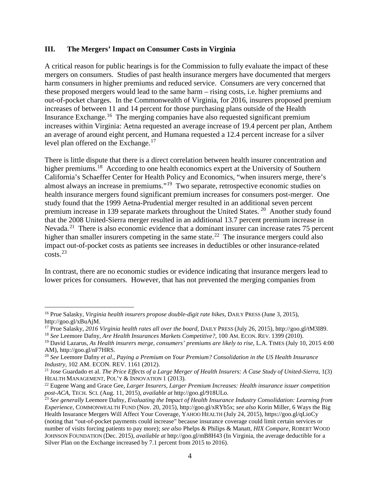#### **III. The Mergers' Impact on Consumer Costs in Virginia**

A critical reason for public hearings is for the Commission to fully evaluate the impact of these mergers on consumers. Studies of past health insurance mergers have documented that mergers harm consumers in higher premiums and reduced service. Consumers are very concerned that these proposed mergers would lead to the same harm – rising costs, i.e. higher premiums and out-of-pocket charges. In the Commonwealth of Virginia, for 2016, insurers proposed premium increases of between 11 and 14 percent for those purchasing plans outside of the Health Insurance Exchange.[16](#page-3-0) The merging companies have also requested significant premium increases within Virginia: Aetna requested an average increase of 19.4 percent per plan, Anthem an average of around eight percent, and Humana requested a 12.4 percent increase for a silver level plan offered on the Exchange. $17$ 

There is little dispute that there is a direct correlation between health insurer concentration and higher premiums.<sup>[18](#page-3-2)</sup> According to one health economics expert at the University of Southern California's Schaeffer Center for Health Policy and Economics, "when insurers merge, there's almost always an increase in premiums."[19](#page-3-3) Two separate, retrospective economic studies on health insurance mergers found significant premium increases for consumers post-merger. One study found that the 1999 Aetna-Prudential merger resulted in an additional seven percent premium increase in 139 separate markets throughout the United States. [20](#page-3-4) Another study found that the 2008 United-Sierra merger resulted in an additional 13.7 percent premium increase in Nevada.<sup>[21](#page-3-5)</sup> There is also economic evidence that a dominant insurer can increase rates 75 percent higher than smaller insurers competing in the same state.<sup>22</sup> The insurance mergers could also impact out-of-pocket costs as patients see increases in deductibles or other insurance-related costs.[23](#page-3-7)

In contrast, there are no economic studies or evidence indicating that insurance mergers lead to lower prices for consumers. However, that has not prevented the merging companies from

<span id="page-3-0"></span><sup>&</sup>lt;sup>16</sup> Prue Salasky, *Virginia health insurers propose double-digit rate hikes*, DAILY PRESS (June 3, 2015), http://goo.gl/xBuAjM.

<span id="page-3-1"></span><sup>17</sup> Prue Salasky, *2016 Virginia health rates all over the board*, DAILY PRESS (July 26, 2015), http://goo.gl/tM3I89.

<span id="page-3-2"></span><sup>18</sup> *See* Leemore Dafny, *Are Health Insurances Markets Competitive?*, 100 AM. ECON. REV. 1399 (2010).

<span id="page-3-3"></span><sup>&</sup>lt;sup>19</sup> David Lazarus, *As Health insurers merge, consumers' premiums are likely to rise*, L.A. TIMES (July 10, 2015 4:00 AM), http://goo.gl/nF7HRS.

<span id="page-3-4"></span><sup>20</sup> *See* Leemore Dafny *et al*., *Paying a Premium on Your Premium? Consolidation in the US Health Insurance Industry,* 102 AM. ECON. REV. 1161 (2012).

<span id="page-3-5"></span><sup>&</sup>lt;sup>21</sup> Jose Guardado et al. *The Price Effects of a Large Merger of Health Insurers: A Case Study of United-Sierra, 1(3)* HEALTH MANAGEMENT, POL'Y & INNOVATION 1 (2013).

<span id="page-3-6"></span><sup>22</sup> Eugene Wang and Grace Gee, *Larger Insurers, Larger Premium Increases: Health insurance issuer competition post-ACA*, TECH. SCI. (Aug. 11, 2015), *available at* http://goo.gl/918ULo.

<span id="page-3-7"></span><sup>23</sup> *See generally* Leemore Dafny, *Evaluating the Impact of Health Insurance Industry Consolidation: Learning from Experience*, COMMONWEALTH FUND (Nov. 20, 2015), http://goo.gl/xRYb5x; *see also* Korin Miller, 6 Ways the Big Health Insurance Mergers Will Affect Your Coverage, YAHOO HEALTH (July 24, 2015), https://goo.gl/qLioCy (noting that "out-of-pocket payments could increase" because insurance coverage could limit certain services or number of visits forcing patients to pay more); *see also* Phelps & Philips & Manatt, *HIX Compare*, ROBERT WOOD JOHNSON FOUNDATION (Dec. 2015), *available at* http://goo.gl/mB8H43 (In Virginia, the average deductible for a Silver Plan on the Exchange increased by 7.1 percent from 2015 to 2016).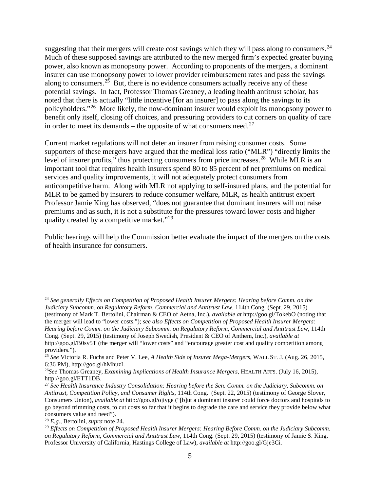suggesting that their mergers will create cost savings which they will pass along to consumers.<sup>24</sup> Much of these supposed savings are attributed to the new merged firm's expected greater buying power, also known as monopsony power. According to proponents of the mergers, a dominant insurer can use monopsony power to lower provider reimbursement rates and pass the savings along to consumers.<sup>[25](#page-4-1)</sup> But, there is no evidence consumers actually receive any of these potential savings. In fact, Professor Thomas Greaney, a leading health antitrust scholar, has noted that there is actually "little incentive [for an insurer] to pass along the savings to its policyholders."[26](#page-4-2) More likely, the now-dominant insurer would exploit its monopsony power to benefit only itself, closing off choices, and pressuring providers to cut corners on quality of care in order to meet its demands – the opposite of what consumers need.<sup>[27](#page-4-3)</sup>

Current market regulations will not deter an insurer from raising consumer costs. Some supporters of these mergers have argued that the medical loss ratio ("MLR") "directly limits the level of insurer profits," thus protecting consumers from price increases.<sup>[28](#page-4-4)</sup> While MLR is an important tool that requires health insurers spend 80 to 85 percent of net premiums on medical services and quality improvements, it will not adequately protect consumers from anticompetitive harm. Along with MLR not applying to self-insured plans, and the potential for MLR to be gamed by insurers to reduce consumer welfare, MLR, as health antitrust expert Professor Jamie King has observed, "does not guarantee that dominant insurers will not raise premiums and as such, it is not a substitute for the pressures toward lower costs and higher quality created by a competitive market."[29](#page-4-5)

Public hearings will help the Commission better evaluate the impact of the mergers on the costs of health insurance for consumers.

<span id="page-4-0"></span> <sup>24</sup> *See generally Effects on Competition of Proposed Health Insurer Mergers: Hearing before Comm. on the Judiciary Subcomm. on Regulatory Reform, Commercial and Antitrust Law*, 114th Cong. (Sept. 29, 2015) (testimony of Mark T. Bertolini, Chairman & CEO of Aetna, Inc.), *available at* http://goo.gl/TokebO (noting that the merger will lead to "lower costs."); *see also Effects on Competition of Proposed Health Insurer Mergers: Hearing before Comm. on the Judiciary Subcomm. on Regulatory Reform, Commercial and Antitrust Law*, 114th Cong. (Sept. 29, 2015) (testimony of Joseph Swedish, President & CEO of Anthem, Inc.), *available at* 

http://goo.gl/B0sy5T (the merger will "lower costs" and "encourage greater cost and quality competition among providers.").

<span id="page-4-1"></span><sup>25</sup> *See* Victoria R. Fuchs and Peter V. Lee, *A Health Side of Insurer Mega-Mergers*, WALL ST. J. (Aug. 26, 2015, 6:36 PM), http://goo.gl/hMhuzI.

<span id="page-4-2"></span><sup>26</sup>*See* Thomas Greaney, *Examining Implications of Health Insurance Mergers*, HEALTH AFFS. (July 16, 2015), http://goo.gl/ETT1DB.

<span id="page-4-3"></span><sup>27</sup> *See Health Insurance Industry Consolidation: Hearing before the Sen. Comm. on the Judiciary, Subcomm. on Antitrust, Competition Policy, and Consumer Rights*, 114th Cong. (Sept. 22, 2015) (testimony of George Slover, Consumers Union), *available at* http://goo.gl/ojiyge ("[b]ut a dominant insurer could force doctors and hospitals to go beyond trimming costs, to cut costs so far that it begins to degrade the care and service they provide below what consumers value and need").

<span id="page-4-4"></span><sup>28</sup> *E.g.,* Bertolini, *supra* note 24.

<span id="page-4-5"></span><sup>29</sup> *Effects on Competition of Proposed Health Insurer Mergers: Hearing Before Comm. on the Judiciary Subcomm. on Regulatory Reform, Commercial and Antitrust Law*, 114th Cong. (Sept. 29, 2015) (testimony of Jamie S. King, Professor University of California, Hastings College of Law), *available at* http://goo.gl/Gje3Ci.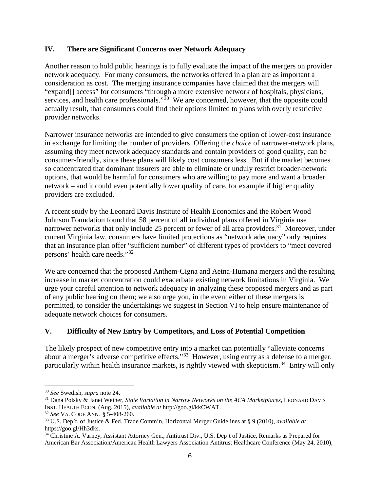### **IV. There are Significant Concerns over Network Adequacy**

Another reason to hold public hearings is to fully evaluate the impact of the mergers on provider network adequacy. For many consumers, the networks offered in a plan are as important a consideration as cost. The merging insurance companies have claimed that the mergers will "expand[] access" for consumers "through a more extensive network of hospitals, physicians, services, and health care professionals."<sup>30</sup> We are concerned, however, that the opposite could actually result, that consumers could find their options limited to plans with overly restrictive provider networks.

Narrower insurance networks are intended to give consumers the option of lower-cost insurance in exchange for limiting the number of providers. Offering the *choice* of narrower-network plans, assuming they meet network adequacy standards and contain providers of good quality, can be consumer-friendly, since these plans will likely cost consumers less. But if the market becomes so concentrated that dominant insurers are able to eliminate or unduly restrict broader-network options, that would be harmful for consumers who are willing to pay more and want a broader network – and it could even potentially lower quality of care, for example if higher quality providers are excluded.

A recent study by the Leonard Davis Institute of Health Economics and the Robert Wood Johnson Foundation found that 58 percent of all individual plans offered in Virginia use narrower networks that only include 25 percent or fewer of all area providers.<sup>31</sup> Moreover, under current Virginia law, consumers have limited protections as "network adequacy" only requires that an insurance plan offer "sufficient number" of different types of providers to "meet covered persons' health care needs."[32](#page-5-2)

We are concerned that the proposed Anthem-Cigna and Aetna-Humana mergers and the resulting increase in market concentration could exacerbate existing network limitations in Virginia. We urge your careful attention to network adequacy in analyzing these proposed mergers and as part of any public hearing on them; we also urge you, in the event either of these mergers is permitted, to consider the undertakings we suggest in Section VI to help ensure maintenance of adequate network choices for consumers.

## **V. Difficulty of New Entry by Competitors, and Loss of Potential Competition**

The likely prospect of new competitive entry into a market can potentially "alleviate concerns about a merger's adverse competitive effects."[33](#page-5-3) However, using entry as a defense to a merger, particularly within health insurance markets, is rightly viewed with skepticism.<sup>[34](#page-5-4)</sup> Entry will only

<span id="page-5-0"></span> <sup>30</sup> *See* Swedish, *supra* note 24.

<span id="page-5-1"></span><sup>&</sup>lt;sup>31</sup> Dana Polsky & Janet Weiner, *State Variation in Narrow Networks on the ACA Marketplaces*, LEONARD DAVIS INST. HEALTH ECON. (Aug. 2015), *available at* http://goo.gl/kkCWAT. 32 *See* VA. CODE ANN. § 5-408-260.

<span id="page-5-2"></span>

<span id="page-5-3"></span><sup>33</sup> U.S. Dep't. of Justice & Fed. Trade Comm'n, Horizontal Merger Guidelines at § 9 (2010), *available at*  https://goo.gl/Hh3dks.<br><sup>34</sup> Christine A. Varney, Assistant Attorney Gen., Antitrust Div., U.S. Dep't of Justice, Remarks as Prepared for

<span id="page-5-4"></span>American Bar Association/American Health Lawyers Association Antitrust Healthcare Conference (May 24, 2010),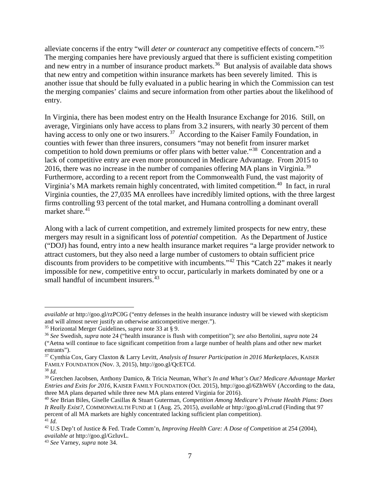alleviate concerns if the entry "will *deter or counteract* any competitive effects of concern."[35](#page-6-0) The merging companies here have previously argued that there is sufficient existing competition and new entry in a number of insurance product markets.<sup>36</sup> But analysis of available data shows that new entry and competition within insurance markets has been severely limited. This is another issue that should be fully evaluated in a public hearing in which the Commission can test the merging companies' claims and secure information from other parties about the likelihood of entry.

In Virginia, there has been modest entry on the Health Insurance Exchange for 2016. Still, on average, Virginians only have access to plans from 3.2 insurers, with nearly 30 percent of them having access to only one or two insurers.<sup>[37](#page-6-2)</sup> According to the Kaiser Family Foundation, in counties with fewer than three insurers, consumers "may not benefit from insurer market competition to hold down premiums or offer plans with better value."[38](#page-6-3) Concentration and a lack of competitive entry are even more pronounced in Medicare Advantage. From 2015 to 2016, there was no increase in the number of companies offering MA plans in Virginia.<sup>[39](#page-6-4)</sup> Furthermore, according to a recent report from the Commonwealth Fund, the vast majority of Virginia's MA markets remain highly concentrated, with limited competition.<sup>40</sup> In fact, in rural Virginia counties, the 27,035 MA enrollees have incredibly limited options, with the three largest firms controlling 93 percent of the total market, and Humana controlling a dominant overall market share. $41$ 

Along with a lack of current competition, and extremely limited prospects for new entry, these mergers may result in a significant loss of *potential* competition. As the Department of Justice ("DOJ) has found, entry into a new health insurance market requires "a large provider network to attract customers, but they also need a large number of customers to obtain sufficient price discounts from providers to be competitive with incumbents."<sup>[42](#page-6-7)</sup> This "Catch 22" makes it nearly impossible for new, competitive entry to occur, particularly in markets dominated by one or a small handful of incumbent insurers. $43$ 

 $\overline{a}$ 

*available at* http://goo.gl/rzPC0G ("entry defenses in the health insurance industry will be viewed with skepticism and will almost never justify an otherwise anticompetitive merger."). 35 Horizontal Merger Guidelines, *supra* note 33 at § 9.

<span id="page-6-0"></span>

<span id="page-6-1"></span><sup>36</sup> *See* Swedish, *supra* note 24 ("health insurance is flush with competition"); *see also* Bertolini, *supra* note 24 ("Aetna will continue to face significant competition from a large number of health plans and other new market entrants").

<span id="page-6-2"></span><sup>37</sup> Cynthia Cox, Gary Claxton & Larry Levitt, *Analysis of Insurer Participation in 2016 Marketplaces*, KAISER FAMILY FOUNDATION (Nov. 3, 2015), http://goo.gl/QcETCd. 38 *Id.* 

<span id="page-6-4"></span><span id="page-6-3"></span><sup>39</sup> Gretchen Jacobsen, Anthony Damico, & Tricia Neuman, W*hat's In and What's Out? Medicare Advantage Market Entries and Exits for 2016*, KAISER FAMILY FOUNDATION (Oct. 2015), http://goo.gl/6ZhW6V (According to the data, three MA plans departed while three new MA plans entered Virginia for 2016).

<span id="page-6-5"></span><sup>40</sup> *See* Brian Biles, Giselle Casillas & Stuart Guterman, *Competition Among Medicare's Private Health Plans: Does It Really Exist?*, COMMONWEALTH FUND at 1 (Aug. 25, 2015), *available at* http://goo.gl/nLcrud (Finding that 97 percent of all MA markets are highly concentrated lacking sufficient plan competition).  $\overline{4}$ <sup>41</sup> *Id.* 

<span id="page-6-7"></span><span id="page-6-6"></span><sup>42</sup> U.S Dep't of Justice & Fed. Trade Comm'n, *Improving Health Care: A Dose of Competition* at 254 (2004),

<span id="page-6-8"></span><sup>&</sup>lt;sup>43</sup> See Varney, *supra* note 34.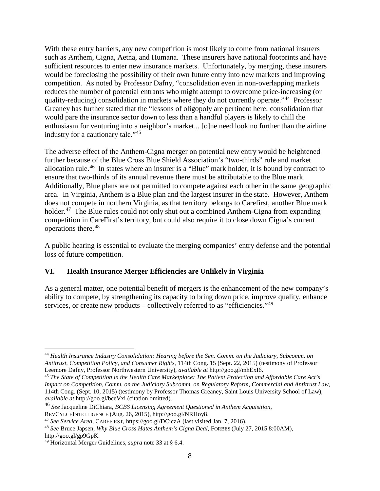With these entry barriers, any new competition is most likely to come from national insurers such as Anthem, Cigna, Aetna, and Humana. These insurers have national footprints and have sufficient resources to enter new insurance markets. Unfortunately, by merging, these insurers would be foreclosing the possibility of their own future entry into new markets and improving competition. As noted by Professor Dafny, "consolidation even in non-overlapping markets reduces the number of potential entrants who might attempt to overcome price-increasing (or quality-reducing) consolidation in markets where they do not currently operate."[44](#page-7-0) Professor Greaney has further stated that the "lessons of oligopoly are pertinent here: consolidation that would pare the insurance sector down to less than a handful players is likely to chill the enthusiasm for venturing into a neighbor's market... [o]ne need look no further than the airline industry for a cautionary tale."[45](#page-7-1)

The adverse effect of the Anthem-Cigna merger on potential new entry would be heightened further because of the Blue Cross Blue Shield Association's "two-thirds" rule and market allocation rule.[46](#page-7-2) In states where an insurer is a "Blue" mark holder, it is bound by contract to ensure that two-thirds of its annual revenue there must be attributable to the Blue mark. Additionally, Blue plans are not permitted to compete against each other in the same geographic area. In Virginia, Anthem is a Blue plan and the largest insurer in the state. However, Anthem does not compete in northern Virginia, as that territory belongs to Carefirst, another Blue mark holder.<sup>[47](#page-7-3)</sup> The Blue rules could not only shut out a combined Anthem-Cigna from expanding competition in CareFirst's territory, but could also require it to close down Cigna's current operations there.[48](#page-7-4)

A public hearing is essential to evaluate the merging companies' entry defense and the potential loss of future competition.

## **VI. Health Insurance Merger Efficiencies are Unlikely in Virginia**

As a general matter, one potential benefit of mergers is the enhancement of the new company's ability to compete, by strengthening its capacity to bring down price, improve quality, enhance services, or create new products – collectively referred to as "efficiencies."<sup>49</sup>

<span id="page-7-0"></span> <sup>44</sup> *Health Insurance Industry Consolidation: Hearing before the Sen. Comm. on the Judiciary, Subcomm. on Antitrust, Competition Policy, and Consumer Rights, 114th Cong. 15 (Sept. 22, 2015)* (testimony of Professor<br>Leemore Dafny, Professor Northwestern University), *available at http://goo.gl/mhExI6*.

<span id="page-7-1"></span><sup>&</sup>lt;sup>45</sup> The State of Competition in the Health Care Marketplace: The Patient Protection and Affordable Care Act's *Impact on Competition*, *Comm. on the Judiciary Subcomm. on Regulatory Reform, Commercial and Antitrust Law*, 114th Cong. (Sept. 10, 2015) (testimony by Professor Thomas Greaney, Saint Louis University School of Law), *available at* http://goo.gl/bceVxi (citation omitted).

<span id="page-7-2"></span><sup>46</sup> *See* Jacqueline DiChiara, *BCBS Licensing Agreement Questioned in Anthem Acquisition*,

<span id="page-7-3"></span><sup>&</sup>lt;sup>47</sup> See Service Area, CAREFIRST, https://goo.gl/DCiczA (last visited Jan. 7, 2016).

<span id="page-7-4"></span><sup>48</sup> *See* Bruce Japsen, *Why Blue Cross Hates Anthem's Cigna Deal*, FORBES (July 27, 2015 8:00AM), http://goo.gl/gp9GpK.

<span id="page-7-5"></span><sup>49</sup> Horizontal Merger Guidelines, *supra* note 33 at § 6.4.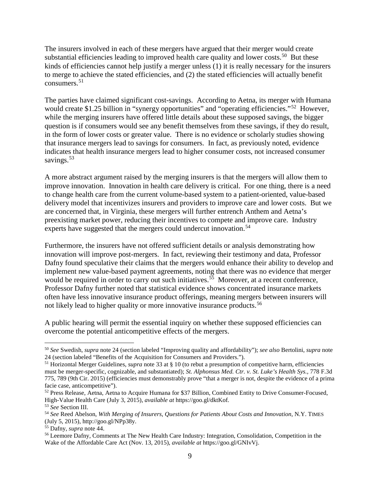The insurers involved in each of these mergers have argued that their merger would create substantial efficiencies leading to improved health care quality and lower costs.<sup>[50](#page-8-0)</sup> But these kinds of efficiencies cannot help justify a merger unless (1) it is really necessary for the insurers to merge to achieve the stated efficiencies, and (2) the stated efficiencies will actually benefit consumers.  $51$ 

The parties have claimed significant cost-savings. According to Aetna, its merger with Humana would create \$1.25 billion in "synergy opportunities" and "operating efficiencies."<sup>52</sup> However, while the merging insurers have offered little details about these supposed savings, the bigger question is if consumers would see any benefit themselves from these savings, if they do result, in the form of lower costs or greater value. There is no evidence or scholarly studies showing that insurance mergers lead to savings for consumers. In fact, as previously noted, evidence indicates that health insurance mergers lead to higher consumer costs, not increased consumer savings.<sup>53</sup>

A more abstract argument raised by the merging insurers is that the mergers will allow them to improve innovation. Innovation in health care delivery is critical. For one thing, there is a need to change health care from the current volume-based system to a patient-oriented, value-based delivery model that incentivizes insurers and providers to improve care and lower costs. But we are concerned that, in Virginia, these mergers will further entrench Anthem and Aetna's preexisting market power, reducing their incentives to compete and improve care. Industry experts have suggested that the mergers could undercut innovation.<sup>[54](#page-8-4)</sup>

Furthermore, the insurers have not offered sufficient details or analysis demonstrating how innovation will improve post-mergers. In fact, reviewing their testimony and data, Professor Dafny found speculative their claims that the mergers would enhance their ability to develop and implement new value-based payment agreements, noting that there was no evidence that merger would be required in order to carry out such initiatives.<sup> $55$ </sup> Moreover, at a recent conference, Professor Dafny further noted that statistical evidence shows concentrated insurance markets often have less innovative insurance product offerings, meaning mergers between insurers will not likely lead to higher quality or more innovative insurance products.<sup>[56](#page-8-6)</sup>

A public hearing will permit the essential inquiry on whether these supposed efficiencies can overcome the potential anticompetitive effects of the mergers.

<span id="page-8-0"></span> <sup>50</sup> *See* Swedish, *supra* note 24 (section labeled "Improving quality and affordability"); *see also* Bertolini, *supra* note 24 (section labeled "Benefits of the Acquisition for Consumers and Providers.").

<span id="page-8-1"></span><sup>51</sup> Horizontal Merger Guidelines, *supra* note 33 at § 10 (to rebut a presumption of competitive harm, efficiencies

must be merger-specific, cognizable, and substantiated); *St. Alphonsus Med. Ctr. v. St. Luke's Health Sys.*, 778 F.3d 775, 789 (9th Cir. 2015) (efficiencies must demonstrably prove "that a merger is not, despite the evidence of a prima facie case, anticompetitive").

<span id="page-8-2"></span><sup>52</sup> Press Release, Aetna, Aetna to Acquire Humana for \$37 Billion, Combined Entity to Drive Consumer-Focused, High-Value Health Care (July 3, 2015), *available at* https://goo.gl/dktKof.

<span id="page-8-3"></span>

<span id="page-8-4"></span><sup>&</sup>lt;sup>54</sup> See Reed Abelson, *With Merging of Insurers, Questions for Patients About Costs and Innovation*, N.Y. TIMES (July 5, 2015), http://goo.gl/NPp38y.

<span id="page-8-5"></span>

<span id="page-8-6"></span><sup>&</sup>lt;sup>56</sup> Leemore Dafny, Comments at The New Health Care Industry: Integration, Consolidation, Competition in the Wake of the Affordable Care Act (Nov. 13, 2015), *available at* https://goo.gl/GNIvVj.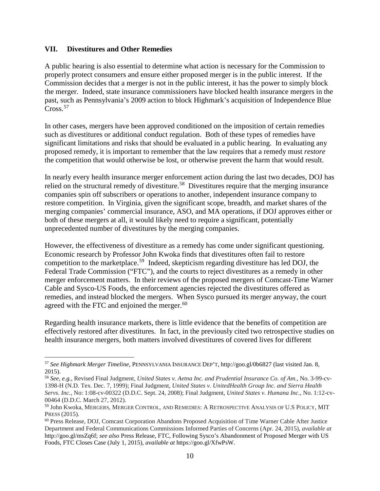#### **VII. Divestitures and Other Remedies**

A public hearing is also essential to determine what action is necessary for the Commission to properly protect consumers and ensure either proposed merger is in the public interest. If the Commission decides that a merger is not in the public interest, it has the power to simply block the merger. Indeed, state insurance commissioners have blocked health insurance mergers in the past, such as Pennsylvania's 2009 action to block Highmark's acquisition of Independence Blue Cross. [57](#page-9-0)

In other cases, mergers have been approved conditioned on the imposition of certain remedies such as divestitures or additional conduct regulation. Both of these types of remedies have significant limitations and risks that should be evaluated in a public hearing. In evaluating any proposed remedy, it is important to remember that the law requires that a remedy must *restore* the competition that would otherwise be lost, or otherwise prevent the harm that would result.

In nearly every health insurance merger enforcement action during the last two decades, DOJ has relied on the structural remedy of divestiture.<sup>58</sup> Divestitures require that the merging insurance companies spin off subscribers or operations to another, independent insurance company to restore competition. In Virginia, given the significant scope, breadth, and market shares of the merging companies' commercial insurance, ASO, and MA operations, if DOJ approves either or both of these mergers at all, it would likely need to require a significant, potentially unprecedented number of divestitures by the merging companies.

However, the effectiveness of divestiture as a remedy has come under significant questioning. Economic research by Professor John Kwoka finds that divestitures often fail to restore competition to the marketplace.<sup>59</sup> Indeed, skepticism regarding divestiture has led DOJ, the Federal Trade Commission ("FTC"), and the courts to reject divestitures as a remedy in other merger enforcement matters. In their reviews of the proposed mergers of Comcast-Time Warner Cable and Sysco-US Foods, the enforcement agencies rejected the divestitures offered as remedies, and instead blocked the mergers. When Sysco pursued its merger anyway, the court agreed with the FTC and enjoined the merger. $60$ 

Regarding health insurance markets, there is little evidence that the benefits of competition are effectively restored after divestitures. In fact, in the previously cited two retrospective studies on health insurance mergers, both matters involved divestitures of covered lives for different

<span id="page-9-0"></span> <sup>57</sup> *See Highmark Merger Timeline*, PENNSYLVANIA INSURANCE DEP'T, http://goo.gl/0b6827 (last visited Jan. 8, 2015).

<span id="page-9-1"></span><sup>58</sup> *See, e.g.,* Revised Final Judgment, *United States v. Aetna Inc. and Prudential Insurance Co. of Am*., No. 3-99-cv-1398-H (N.D. Tex. Dec. 7, 1999); Final Judgment, *United States v. UnitedHealth Group Inc. and Sierra Health Servs. Inc.*, No: 1:08-cv-00322 (D.D.C. Sept. 24, 2008); Final Judgment, *United States v. Humana Inc.*, No. 1:12-cv-00464 (D.D.C. March 27, 2012).

<span id="page-9-2"></span><sup>59</sup> John Kwoka, MERGERS, MERGER CONTROL, AND REMEDIES: A RETROSPECTIVE ANALYSIS OF U.S POLICY, MIT PRESS (2015).<br><sup>60</sup> Press Release, DOJ, Comcast Corporation Abandons Proposed Acquisition of Time Warner Cable After Justice

<span id="page-9-3"></span>Department and Federal Communications Commissions Informed Parties of Concerns (Apr. 24, 2015), *available at*  http://goo.gl/msZq6f; *see also* Press Release, FTC, Following Sysco's Abandonment of Proposed Merger with US Foods, FTC Closes Case (July 1, 2015), *available at* https://goo.gl/XfwPsW.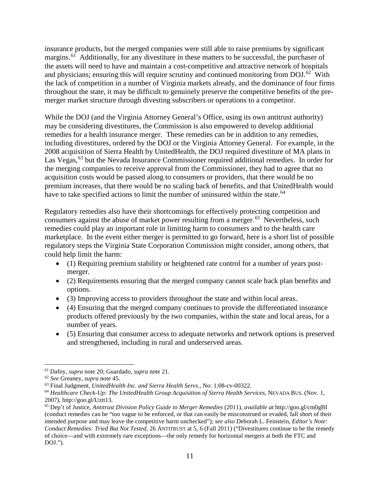insurance products, but the merged companies were still able to raise premiums by significant margins.<sup>[61](#page-10-0)</sup> Additionally, for any divestiture in these matters to be successful, the purchaser of the assets will need to have and maintain a cost-competitive and attractive network of hospitals and physicians; ensuring this will require scrutiny and continued monitoring from DOJ.<sup>[62](#page-10-1)</sup> With the lack of competition in a number of Virginia markets already, and the dominance of four firms throughout the state, it may be difficult to genuinely preserve the competitive benefits of the premerger market structure through divesting subscribers or operations to a competitor.

While the DOJ (and the Virginia Attorney General's Office, using its own antitrust authority) may be considering divestitures, the Commission is also empowered to develop additional remedies for a health insurance merger. These remedies can be in addition to any remedies, including divestitures, ordered by the DOJ or the Virginia Attorney General. For example, in the 2008 acquisition of Sierra Health by UnitedHealth, the DOJ required divestiture of MA plans in Las Vegas,<sup>[63](#page-10-2)</sup> but the Nevada Insurance Commissioner required additional remedies. In order for the merging companies to receive approval from the Commissioner, they had to agree that no acquisition costs would be passed along to consumers or providers, that there would be no premium increases, that there would be no scaling back of benefits, and that UnitedHealth would have to take specified actions to limit the number of uninsured within the state.<sup>[64](#page-10-3)</sup>

Regulatory remedies also have their shortcomings for effectively protecting competition and consumers against the abuse of market power resulting from a merger.<sup>[65](#page-10-4)</sup> Nevertheless, such remedies could play an important role in limiting harm to consumers and to the health care marketplace. In the event either merger is permitted to go forward, here is a short list of possible regulatory steps the Virginia State Corporation Commission might consider, among others, that could help limit the harm:

- (1) Requiring premium stability or heightened rate control for a number of years postmerger.
- (2) Requirements ensuring that the merged company cannot scale back plan benefits and options.
- (3) Improving access to providers throughout the state and within local areas.
- (4) Ensuring that the merged company continues to provide the differentiated insurance products offered previously by the two companies, within the state and local areas, for a number of years.
- (5) Ensuring that consumer access to adequate networks and network options is preserved and strengthened, including in rural and underserved areas.

<span id="page-10-0"></span> <sup>61</sup> Dafny, *supra* note 20; Guardado, *supra* note 21.

<span id="page-10-1"></span><sup>62</sup> *See* Greaney, *supra* note 45.

<span id="page-10-2"></span><sup>63</sup> Final Judgment, *UnitedHealth Inc. and Sierra Health Servs.*, No: 1:08-cv-00322.

<span id="page-10-3"></span><sup>64</sup> *Healthcare Check-Up: The UnitedHealth Group Acquisition of Sierra Health Services*, NEVADA BUS. (Nov. 1, 2007), http://goo.gl/Uztt13.

<span id="page-10-4"></span><sup>65</sup> Dep't of Justice, *Antitrust Division Policy Guide to Merger Remedies* (2011), *available at* http://goo.gl/cm0gBI (conduct remedies can be "too vague to be enforced, or that can easily be misconstrued or evaded, fall short of their intended purpose and may leave the competitive harm unchecked"); *see also* Deborah L. Feinstein, *Editor's Note: Conduct Remedies: Tried But Not Tested*, 26 ANTITRUST at 5, 6 (Fall 2011) ("Divestitures continue to be the remedy of choice—and with extremely rare exceptions—the only remedy for horizontal mergers at both the FTC and DOJ.").